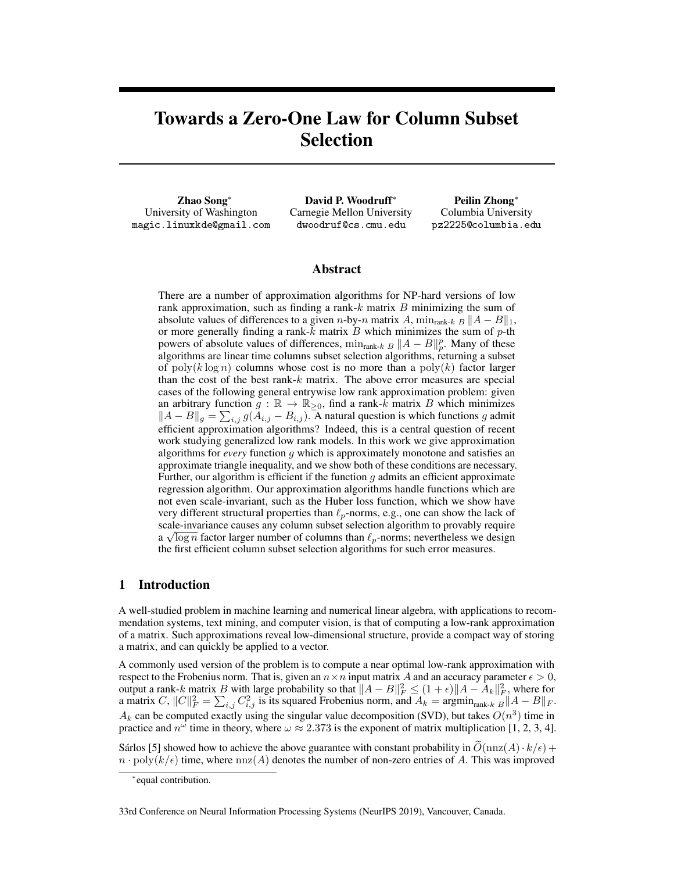# Towards a Zero-One Law for Column Subset Selection

Zhao Song<sup>∗</sup> University of Washington magic.linuxkde@gmail.com

David P. Woodruff<sup>∗</sup> Carnegie Mellon University dwoodruf@cs.cmu.edu

Peilin Zhong<sup>∗</sup> Columbia University pz2225@columbia.edu

## Abstract

There are a number of approximation algorithms for NP-hard versions of low rank approximation, such as finding a rank- $k$  matrix  $B$  minimizing the sum of absolute values of differences to a given n-by-n matrix A,  $\min_{\text{rank-}k} B ||A - B||_1$ , or more generally finding a rank- $k$  matrix  $B$  which minimizes the sum of  $p$ -th powers of absolute values of differences,  $\min_{\text{rank-}k} B ||A - B||_p^p$ . Many of these algorithms are linear time columns subset selection algorithms, returning a subset of poly(k log n) columns whose cost is no more than a poly(k) factor larger than the cost of the best rank-k matrix. The above error measures are special cases of the following general entrywise low rank approximation problem: given an arbitrary function  $g : \mathbb{R} \to \mathbb{R}_{\geq 0}$ , find a rank-k matrix B which minimizes  $||A - B||_g = \sum_{i,j} g(A_{i,j} - B_{i,j})$ . A natural question is which functions g admit efficient approximation algorithms? Indeed, this is a central question of recent work studying generalized low rank models. In this work we give approximation algorithms for *every* function g which is approximately monotone and satisfies an approximate triangle inequality, and we show both of these conditions are necessary. Further, our algorithm is efficient if the function  $g$  admits an efficient approximate regression algorithm. Our approximation algorithms handle functions which are not even scale-invariant, such as the Huber loss function, which we show have very different structural properties than  $\ell_p$ -norms, e.g., one can show the lack of scale-invariance causes any column subset selection algorithm to provably require  $\frac{d}{d} \sqrt{\log n}$  factor larger number of columns than  $\ell_p$ -norms; nevertheless we design the first efficient column subset selection algorithms for such error measures.

# 1 Introduction

A well-studied problem in machine learning and numerical linear algebra, with applications to recommendation systems, text mining, and computer vision, is that of computing a low-rank approximation of a matrix. Such approximations reveal low-dimensional structure, provide a compact way of storing a matrix, and can quickly be applied to a vector.

A commonly used version of the problem is to compute a near optimal low-rank approximation with respect to the Frobenius norm. That is, given an  $n \times n$  input matrix A and an accuracy parameter  $\epsilon > 0$ , output a rank-k matrix B with large probability so that  $||A - B||_F^2 \le (1 + \epsilon) ||A - A_k||_F^2$ , where for a matrix C,  $||C||_F^2 = \sum_{i,j} C_{i,j}^2$  is its squared Frobenius norm, and  $A_k = \operatorname{argmin}_{\text{rank-}k} ||A - B||_F$ .  $A_k$  can be computed exactly using the singular value decomposition (SVD), but takes  $O(n^3)$  time in practice and  $n^{\omega}$  time in theory, where  $\omega \approx 2.373$  is the exponent of matrix multiplication [1, 2, 3, 4].

Sárlos [5] showed how to achieve the above guarantee with constant probability in  $\tilde{O}(\text{nnz}(A) \cdot k/\epsilon)$  +  $n \cdot \text{poly}(k/\epsilon)$  time, where  $\text{nnz}(A)$  denotes the number of non-zero entries of A. This was improved

33rd Conference on Neural Information Processing Systems (NeurIPS 2019), Vancouver, Canada.

<sup>∗</sup> equal contribution.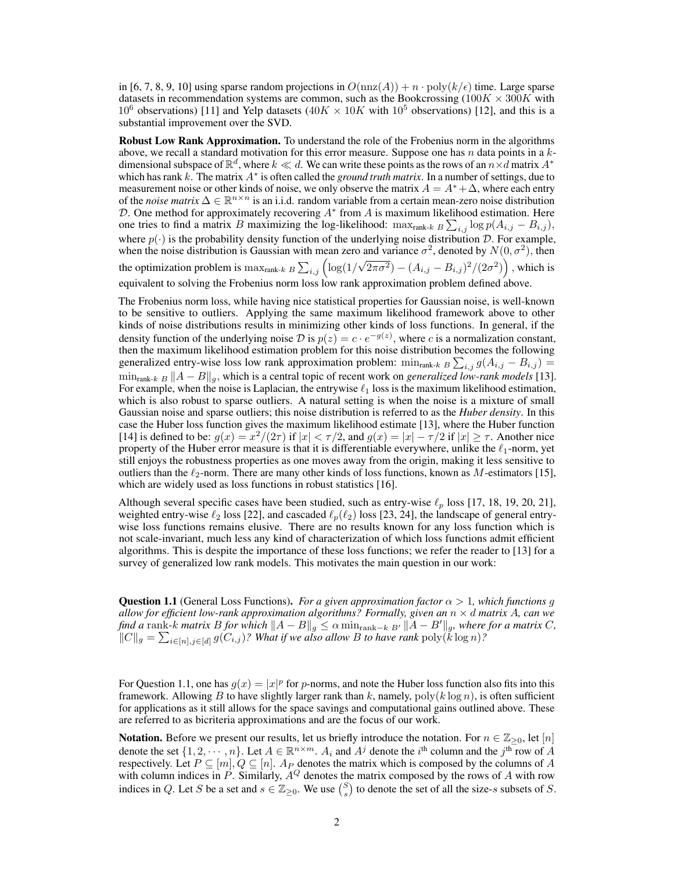in [6, 7, 8, 9, 10] using sparse random projections in  $O(\text{nnz}(A)) + n \cdot \text{poly}(k/\epsilon)$  time. Large sparse datasets in recommendation systems are common, such as the Bookcrossing (100 $K \times 300K$  with 10<sup>6</sup> observations) [11] and Yelp datasets (40K  $\times$  10K with 10<sup>5</sup> observations) [12], and this is a substantial improvement over the SVD.

Robust Low Rank Approximation. To understand the role of the Frobenius norm in the algorithms above, we recall a standard motivation for this error measure. Suppose one has  $n$  data points in a  $k$ dimensional subspace of  $\mathbb{R}^d$ , where  $k \ll d$ . We can write these points as the rows of an  $n \times d$  matrix  $A^*$ which has rank  $k$ . The matrix  $A^*$  is often called the *ground truth matrix*. In a number of settings, due to measurement noise or other kinds of noise, we only observe the matrix  $A = A^* + \Delta$ , where each entry of the *noise matrix*  $\Delta \in \mathbb{R}^{n \times n}$  is an i.i.d. random variable from a certain mean-zero noise distribution D. One method for approximately recovering  $A^*$  from A is maximum likelihood estimation. Here one tries to find a matrix B maximizing the log-likelihood: max<sub>rank-k B</sub>  $\sum_{i,j}$  log  $p(A_{i,j} - B_{i,j})$ , where  $p(\cdot)$  is the probability density function of the underlying noise distribution D. For example, when the noise distribution is Gaussian with mean zero and variance  $\sigma^2$ , denoted by  $N(0, \sigma^2)$ , then the optimization problem is  $\max_{\text{rank-}k} B \sum_{i,j} \left( \log(1/\sqrt{2\pi\sigma^2}) - (A_{i,j} - B_{i,j})^2/(2\sigma^2) \right)$ , which is equivalent to solving the Frobenius norm loss low rank approximation problem defined above.

The Frobenius norm loss, while having nice statistical properties for Gaussian noise, is well-known to be sensitive to outliers. Applying the same maximum likelihood framework above to other kinds of noise distributions results in minimizing other kinds of loss functions. In general, if the density function of the underlying noise  $D$  is  $p(z) = c \cdot e^{-g(z)}$ , where c is a normalization constant, then the maximum likelihood estimation problem for this noise distribution becomes the following generalized entry-wise loss low rank approximation problem:  $\min_{\text{rank-}k} B \sum_{i,j} g(A_{i,j} - B_{i,j}) =$  $\min_{\text{rank-}k} B ||A - B||_q$ , which is a central topic of recent work on *generalized low-rank models* [13]. For example, when the noise is Laplacian, the entrywise  $\ell_1$  loss is the maximum likelihood estimation, which is also robust to sparse outliers. A natural setting is when the noise is a mixture of small Gaussian noise and sparse outliers; this noise distribution is referred to as the *Huber density*. In this case the Huber loss function gives the maximum likelihood estimate [13], where the Huber function [14] is defined to be:  $g(x) = x^2/(2\tau)$  if  $|x| < \tau/2$ , and  $g(x) = |x| - \tau/2$  if  $|x| \ge \tau$ . Another nice property of the Huber error measure is that it is differentiable everywhere, unlike the  $\ell_1$ -norm, yet still enjoys the robustness properties as one moves away from the origin, making it less sensitive to outliers than the  $\ell_2$ -norm. There are many other kinds of loss functions, known as M-estimators [15], which are widely used as loss functions in robust statistics [16].

Although several specific cases have been studied, such as entry-wise  $\ell_p$  loss [17, 18, 19, 20, 21], weighted entry-wise  $\ell_2$  loss [22], and cascaded  $\ell_p(\ell_2)$  loss [23, 24], the landscape of general entrywise loss functions remains elusive. There are no results known for any loss function which is not scale-invariant, much less any kind of characterization of which loss functions admit efficient algorithms. This is despite the importance of these loss functions; we refer the reader to [13] for a survey of generalized low rank models. This motivates the main question in our work:

**Question 1.1** (General Loss Functions). *For a given approximation factor*  $\alpha > 1$ , which functions q *allow for efficient low-rank approximation algorithms? Formally, given an*  $n \times d$  *matrix* A, can we *find a* rank-k *matrix* B *for which*  $||A - B||_g \le \alpha \min_{\text{rank}-k} |A - B'||_g$ , where for a matrix C,  $||C||_g = \sum_{i \in [n], j \in [d]} g(C_{i,j})$ ? What if we also allow B to have rank  $\text{poly}(\vec{k} \log n)$ ?

For Question 1.1, one has  $g(x) = |x|^p$  for p-norms, and note the Huber loss function also fits into this framework. Allowing B to have slightly larger rank than k, namely,  $poly(k \log n)$ , is often sufficient for applications as it still allows for the space savings and computational gains outlined above. These are referred to as bicriteria approximations and are the focus of our work.

**Notation.** Before we present our results, let us briefly introduce the notation. For  $n \in \mathbb{Z}_{\geq 0}$ , let  $[n]$ denote the set  $\{1, 2, \dots, n\}$ . Let  $A \in \mathbb{R}^{n \times m}$ .  $A_i$  and  $A^j$  denote the  $i^{\text{th}}$  column and the  $j^{\text{th}}$  row of  $A$ respectively. Let  $P \subseteq [m], Q \subseteq [n]$ .  $A_P$  denotes the matrix which is composed by the columns of A with column indices in P. Similarly,  $A^{Q}$  denotes the matrix composed by the rows of A with row indices in Q. Let S be a set and  $s \in \mathbb{Z}_{\geq 0}$ . We use  $\binom{S}{s}$  to denote the set of all the size-s subsets of S.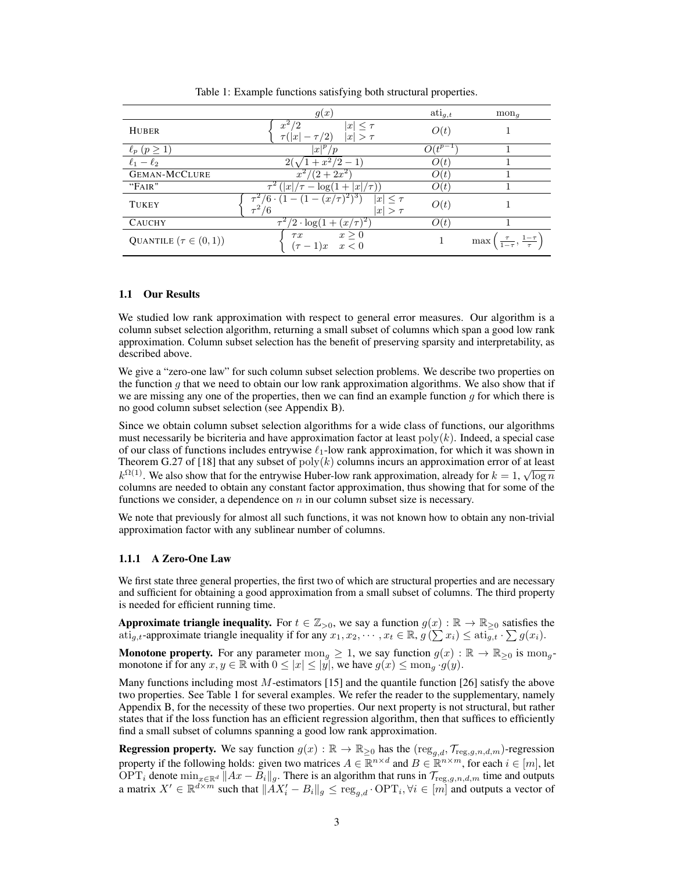|                             | g(x)                                                                   | $\mathrm{ati}_{g,t}$   | $mon_q$                                           |
|-----------------------------|------------------------------------------------------------------------|------------------------|---------------------------------------------------|
| <b>HUBER</b>                | $x^2$<br>$\overline{x}$<br>$\tau( x )$<br>$\lvert x \rvert$<br>$>\tau$ | O(t)                   |                                                   |
| $\ell_p$ $(p \geq 1)$       | $ x ^p/p$                                                              | $O(\overline{t^{p-1}}$ |                                                   |
| $\ell_1 - \ell_2$           | $+ x^2/2$                                                              | O(t)                   |                                                   |
| <b>GEMAN-MCCLURE</b>        | $(2+2x^2)$                                                             | O(t)                   |                                                   |
| "FAIR"                      | $\tau^2$<br>$  x /\tau -$<br>$ x /\tau$<br>$log(1 +$                   | O(t)                   |                                                   |
| <b>TUKEY</b>                | $(x/\tau)^{2}$ <sup>3</sup><br>$ x  \leq \tau$<br>/6<br>$ x  > \tau$   | O(t)                   |                                                   |
| <b>CAUCHY</b>               | $/2 \cdot \log(1 +$<br>$(x/\tau)^2$ .                                  | O(t)                   |                                                   |
| QUANTILE $(\tau \in (0,1))$ | $x \geq 0$<br>$\tau x$<br>$x \leq 0$<br>$(\tau-1)x$                    |                        | $\frac{\tau}{1-\tau}, \frac{1-\tau}{\tau}$<br>max |

Table 1: Example functions satisfying both structural properties.

## 1.1 Our Results

We studied low rank approximation with respect to general error measures. Our algorithm is a column subset selection algorithm, returning a small subset of columns which span a good low rank approximation. Column subset selection has the benefit of preserving sparsity and interpretability, as described above.

We give a "zero-one law" for such column subset selection problems. We describe two properties on the function  $g$  that we need to obtain our low rank approximation algorithms. We also show that if we are missing any one of the properties, then we can find an example function  $g$  for which there is no good column subset selection (see Appendix B).

Since we obtain column subset selection algorithms for a wide class of functions, our algorithms must necessarily be bicriteria and have approximation factor at least  $\text{poly}(k)$ . Indeed, a special case of our class of functions includes entrywise  $\ell_1$ -low rank approximation, for which it was shown in Theorem G.27 of [18] that any subset of  $poly(k)$  columns incurs an approximation error of at least  $k^{\Omega(1)}$ . We also show that for the entrywise Huber-low rank approximation, already for  $k = 1$ ,  $\sqrt{\log n}$ columns are needed to obtain any constant factor approximation, thus showing that for some of the functions we consider, a dependence on  $n$  in our column subset size is necessary.

We note that previously for almost all such functions, it was not known how to obtain any non-trivial approximation factor with any sublinear number of columns.

## 1.1.1 A Zero-One Law

We first state three general properties, the first two of which are structural properties and are necessary and sufficient for obtaining a good approximation from a small subset of columns. The third property is needed for efficient running time.

Approximate triangle inequality. For  $t \in \mathbb{Z}_{>0}$ , we say a function  $g(x): \mathbb{R} \to \mathbb{R}_{\geq 0}$  satisfies the ati<sub>g,t</sub>-approximate triangle inequality if for any  $x_1, x_2, \dots, x_t \in \mathbb{R}$ ,  $g(\sum x_i) \leq \text{ati}_{g,t}^{\square} \cdot \sum g(x_i)$ .

**Monotone property.** For any parameter mon<sub>g</sub>  $\geq 1$ , we say function  $g(x) : \mathbb{R} \to \mathbb{R}_{\geq 0}$  is mon<sub>g</sub>monotone if for any  $x, y \in \mathbb{R}$  with  $0 \leq |x| \leq |y|$ , we have  $g(x) \leq \text{mon}_g \cdot g(y)$ .

Many functions including most M-estimators [15] and the quantile function [26] satisfy the above two properties. See Table 1 for several examples. We refer the reader to the supplementary, namely Appendix B, for the necessity of these two properties. Our next property is not structural, but rather states that if the loss function has an efficient regression algorithm, then that suffices to efficiently find a small subset of columns spanning a good low rank approximation.

**Regression property.** We say function  $g(x) : \mathbb{R} \to \mathbb{R}_{\geq 0}$  has the  $(\text{reg}_{g,d}, \mathcal{T}_{\text{reg},g,n,d,m})$ -regression property if the following holds: given two matrices  $A \in \mathbb{R}^{n \times d}$  and  $B \in \mathbb{R}^{n \times m}$ , for each  $i \in [m]$ , let OPT<sub>i</sub> denote  $\min_{x \in \mathbb{R}^d} ||Ax - B_i||_g$ . There is an algorithm that runs in  $\mathcal{T}_{\text{reg},g,n,d,m}$  time and outputs a matrix  $X' \in \mathbb{R}^{d \times m}$  such that  $||AX'_i - B_i||_g \leq \text{reg}_{g,d} \cdot \text{OPT}_i, \forall i \in [m]$  and outputs a vector of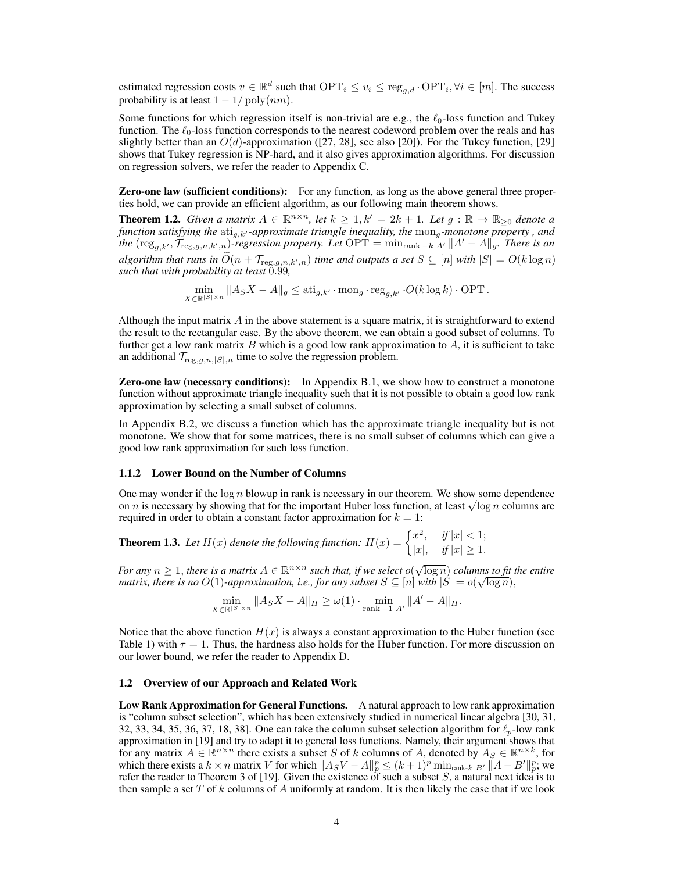estimated regression costs  $v \in \mathbb{R}^d$  such that  $\text{OPT}_i \leq v_i \leq \text{reg}_{g,d} \cdot \text{OPT}_i, \forall i \in [m]$ . The success probability is at least  $1 - 1/\text{poly}(nm)$ .

Some functions for which regression itself is non-trivial are e.g., the  $\ell_0$ -loss function and Tukey function. The  $\ell_0$ -loss function corresponds to the nearest codeword problem over the reals and has slightly better than an  $O(d)$ -approximation ([27, 28], see also [20]). For the Tukey function, [29] shows that Tukey regression is NP-hard, and it also gives approximation algorithms. For discussion on regression solvers, we refer the reader to Appendix C.

**Zero-one law (sufficient conditions):** For any function, as long as the above general three properties hold, we can provide an efficient algorithm, as our following main theorem shows.

**Theorem 1.2.** *Given a matrix*  $A \in \mathbb{R}^{n \times n}$ , let  $k \geq 1$ ,  $k' = 2k + 1$ . Let  $g : \mathbb{R} \to \mathbb{R}_{\geq 0}$  denote a *function satisfying the*  $\mathrm{ati}_{g,k'}$ -approximate triangle inequality, the  $\mathrm{mon}_{g}$ -monotone property , and *the* ( $\text{reg}_{g,k'}$ ,  $\widetilde{\mathcal{T}}_{\text{reg},g,n,k',n}$ *)-regression property. Let*  $\text{OPT} = \min_{\text{rank } -k} A' \Vert A' - A \Vert_{g}$ *. There is an algorithm that runs in*  $O(n + T_{\text{reg},g,n,k',n})$  *time and outputs a set*  $S \subseteq [n]$  *with*  $|S| = O(k \log n)$ *such that with probability at least* 0.99*,*

$$
\min_{X \in \mathbb{R}^{|S| \times n}} \|A_S X - A\|_g \le \text{ati}_{g,k'} \cdot \text{mon}_g \cdot \text{reg}_{g,k'} \cdot O(k \log k) \cdot \text{OPT}.
$$

Although the input matrix  $A$  in the above statement is a square matrix, it is straightforward to extend the result to the rectangular case. By the above theorem, we can obtain a good subset of columns. To further get a low rank matrix  $B$  which is a good low rank approximation to  $A$ , it is sufficient to take an additional  $\mathcal{T}_{\text{reg},g,n,|S|,n}$  time to solve the regression problem.

Zero-one law (necessary conditions): In Appendix B.1, we show how to construct a monotone function without approximate triangle inequality such that it is not possible to obtain a good low rank approximation by selecting a small subset of columns.

In Appendix B.2, we discuss a function which has the approximate triangle inequality but is not monotone. We show that for some matrices, there is no small subset of columns which can give a good low rank approximation for such loss function.

#### 1.1.2 Lower Bound on the Number of Columns

One may wonder if the  $\log n$  blowup in rank is necessary in our theorem. We show some dependence on *n* is necessary by showing that for the important Huber loss function, at least  $\sqrt{\log n}$  columns are required in order to obtain a constant factor approximation for  $k = 1$ :

**Theorem 1.3.** Let  $H(x)$  denote the following function:  $H(x) = \begin{cases} x^2, & \text{if } |x| < 1; \\ 1, & \text{if } |x| > 1. \end{cases}$  $|x|, \quad \text{if } |x| \geq 1.$ 

*For any*  $n \geq 1$ , *there is a matrix*  $A \in \mathbb{R}^{n \times n}$  *such that, if we select*  $o(\sqrt{\log n})$  *columns to fit the entire matrix, there is no*  $O(1)$ *-approximation, i.e., for any subset*  $S \subseteq [n]$  *with*  $|S| = o(\sqrt{\log n})$ ,  $\frac{1}{2}$ 

 $\min_{X \in \mathbb{R}^{|S| \times n}} \|A_S X - A\|_H \ge \omega(1) \cdot \min_{\text{rank } -1 \ A'} \|A' - A\|_H.$ 

Notice that the above function  $H(x)$  is always a constant approximation to the Huber function (see Table 1) with  $\tau = 1$ . Thus, the hardness also holds for the Huber function. For more discussion on our lower bound, we refer the reader to Appendix D.

## 1.2 Overview of our Approach and Related Work

Low Rank Approximation for General Functions. A natural approach to low rank approximation is "column subset selection", which has been extensively studied in numerical linear algebra [30, 31, 32, 33, 34, 35, 36, 37, 18, 38]. One can take the column subset selection algorithm for  $\ell_p$ -low rank approximation in [19] and try to adapt it to general loss functions. Namely, their argument shows that for any matrix  $A \in \mathbb{R}^{n \times n}$  there exists a subset S of k columns of A, denoted by  $A_S \in \mathbb{R}^{n \times k}$ , for which there exists a  $k \times n$  matrix V for which  $||A_S V - A||_p^p \le (k+1)^p \min_{\text{rank-}k} |A - B'||_p^p$ ; we refer the reader to Theorem 3 of [19]. Given the existence of such a subset  $S$ , a natural next idea is to then sample a set T of k columns of A uniformly at random. It is then likely the case that if we look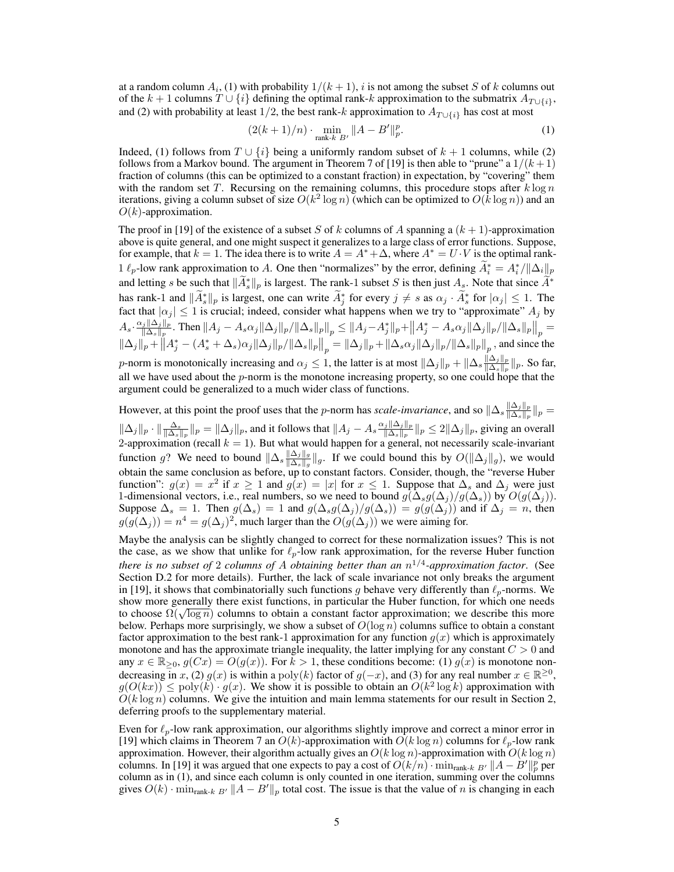at a random column  $A_i$ , (1) with probability  $1/(k+1)$ , i is not among the subset S of k columns out of the k + 1 columns  $T \cup \{i\}$  defining the optimal rank-k approximation to the submatrix  $A_{T \cup \{i\}}$ , and (2) with probability at least 1/2, the best rank-k approximation to  $A_{T\cup\{i\}}$  has cost at most

$$
(2(k+1)/n) \cdot \min_{\text{rank-}k \ B'} \|A - B'\|_p^p. \tag{1}
$$

Indeed, (1) follows from  $T \cup \{i\}$  being a uniformly random subset of  $k + 1$  columns, while (2) follows from a Markov bound. The argument in Theorem 7 of [19] is then able to "prune" a  $1/(k+1)$ fraction of columns (this can be optimized to a constant fraction) in expectation, by "covering" them with the random set T. Recursing on the remaining columns, this procedure stops after  $k \log n$ iterations, giving a column subset of size  $O(k^2 \log n)$  (which can be optimized to  $O(k \log n)$ ) and an  $O(k)$ -approximation.

The proof in [19] of the existence of a subset S of k columns of A spanning a  $(k + 1)$ -approximation above is quite general, and one might suspect it generalizes to a large class of error functions. Suppose, for example, that  $k = 1$ . The idea there is to write  $A = A^* + \Delta$ , where  $A^* = U \cdot V$  is the optimal rank-1  $\ell_p$ -low rank approximation to A. One then "normalizes" by the error, defining  $\tilde{A}_i^* = A_i^*/\|\Delta_i\|_p$ and letting s be such that  $\|\tilde{A}_s^*\|_p$  is largest. The rank-1 subset S is then just  $A_s$ . Note that since  $\tilde{A}^*$ has rank-1 and  $\|\tilde{A}_s^*\|_p$  is largest, one can write  $\tilde{A}_j^*$  for every  $j \neq s$  as  $\alpha_j \cdot \tilde{A}_s^*$  for  $|\alpha_j| \leq 1$ . The fact that  $|\alpha_j| \leq 1$  is crucial; indeed, consider what happens when we try to "approximate"  $A_j$  by  $A_s\cdot\frac{\alpha_j\|\Delta_j\|_p}{\|\Delta_s\|_p}$  $\frac{f_j\|\Delta_j\|_p}{\|\Delta_s\|_p}$ . Then  $\|A_j - A_s\alpha_j\|\Delta_j\|_p/\|\Delta_s\|_p\|_p \le \|A_j - A_j^*\|_p + \|A_j^* - A_s\alpha_j\|\Delta_j\|_p/\|\Delta_s\|_p\|_p =$  $\|\Delta_j\|_p + \|A_j^* - (A_s^* + \Delta_s)\alpha_j\|\Delta_j\|_p / \|\Delta_s\|_p\|_p = \|\Delta_j\|_p + \|\Delta_s\alpha_j\|\Delta_j\|_p / \|\Delta_s\|_p\|_p$ , and since the

p-norm is monotonically increasing and  $\alpha_j \leq 1$ , the latter is at most  $\|\Delta_j\|_p + \|\Delta_s\frac{\|\Delta_j\|_p}{\|\Delta_s\|_p}$  $\frac{\|\Delta_j\|_p}{\|\Delta_s\|_p}\|_p$ . So far, all we have used about the  $p$ -norm is the monotone increasing property, so one could hope that the argument could be generalized to a much wider class of functions.

However, at this point the proof uses that the *p*-norm has *scale-invariance*, and so  $\|\Delta_s\|_{\mathbb{R}^s}\|\|\rho_{\mathcal{S}}\|_{\mathbb{R}^s}$  $\frac{\|\Delta_j\|_p}{\|\Delta_s\|_p}\|_p =$  $\|\Delta_j\|_p \cdot \|\frac{\Delta_s}{\|\Delta_s\|_p}\|_p = \|\Delta_j\|_p$ , and it follows that  $\|A_j - A_s \frac{\alpha_j \|\Delta_j\|_p}{\|\Delta_s\|_p}$  $\frac{\|f_j\| \Delta_j \|_p}{\| \Delta_s \|_p} \|_p \leq 2 \| \Delta_j \|_p$ , giving an overall 2-approximation (recall  $k = 1$ ). But what would happen for a general, not necessarily scale-invariant function g? We need to bound  $\|\Delta_s\frac{\|\Delta_j\|_g}{\|\Delta_s\|_g}$  $\frac{\|\Delta_j\|_g}{\|\Delta_s\|_g} \|_g$ . If we could bound this by  $O(\|\Delta_j\|_g)$ , we would obtain the same conclusion as before, up to constant factors. Consider, though, the "reverse Huber function":  $g(x) = x^2$  if  $x \ge 1$  and  $g(x) = |x|$  for  $x \le 1$ . Suppose that  $\Delta_s$  and  $\Delta_j$  were just 1-dimensional vectors, i.e., real numbers, so we need to bound  $g(\Delta_s g(\Delta_j)/g(\Delta_s))$  by  $O(g(\Delta_j))$ . Suppose  $\Delta_s = 1$ . Then  $g(\Delta_s) = 1$  and  $g(\Delta_s g(\Delta_j)/g(\Delta_s)) = g(g(\Delta_j))$  and if  $\Delta_j = n$ , then  $g(g(\Delta_j)) = n^4 = g(\Delta_j)^2$ , much larger than the  $O(g(\Delta_j))$  we were aiming for.

Maybe the analysis can be slightly changed to correct for these normalization issues? This is not the case, as we show that unlike for  $\ell_p$ -low rank approximation, for the reverse Huber function *there is no subset of* 2 *columns of* A *obtaining better than an* n 1/4 *-approximation factor*. (See Section D.2 for more details). Further, the lack of scale invariance not only breaks the argument in [19], it shows that combinatorially such functions g behave very differently than  $\ell_p$ -norms. We show more generally there exist functions, in particular the Huber function, for which one needs to choose  $\Omega(\sqrt{\log n})$  columns to obtain a constant factor approximation; we describe this more below. Perhaps more surprisingly, we show a subset of  $O(\log n)$  columns suffice to obtain a constant factor approximation to the best rank-1 approximation for any function  $g(x)$  which is approximately monotone and has the approximate triangle inequality, the latter implying for any constant  $C > 0$  and any  $x \in \mathbb{R}_{\geq 0}$ ,  $g(Cx) = O(g(x))$ . For  $k > 1$ , these conditions become: (1)  $g(x)$  is monotone nondecreasing in x, (2)  $g(x)$  is within a poly(k) factor of  $g(-x)$ , and (3) for any real number  $x \in \mathbb{R}^{\geq 0}$ ,  $g(O(kx)) \leq poly(k) \cdot g(x)$ . We show it is possible to obtain an  $O(k^2 \log k)$  approximation with  $O(k \log n)$  columns. We give the intuition and main lemma statements for our result in Section 2, deferring proofs to the supplementary material.

Even for  $\ell_p$ -low rank approximation, our algorithms slightly improve and correct a minor error in [19] which claims in Theorem 7 an  $O(k)$ -approximation with  $O(k \log n)$  columns for  $\ell_p$ -low rank approximation. However, their algorithm actually gives an  $O(k \log n)$ -approximation with  $O(k \log n)$ columns. In [19] it was argued that one expects to pay a cost of  $O(k/n)$  ·  $\min_{\text{rank-}k} B' || A - B'||_p^p$  per column as in (1), and since each column is only counted in one iteration, summing over the columns gives  $O(k)$  · min<sub>rank-k</sub>  $B' || A - B' ||_p$  total cost. The issue is that the value of n is changing in each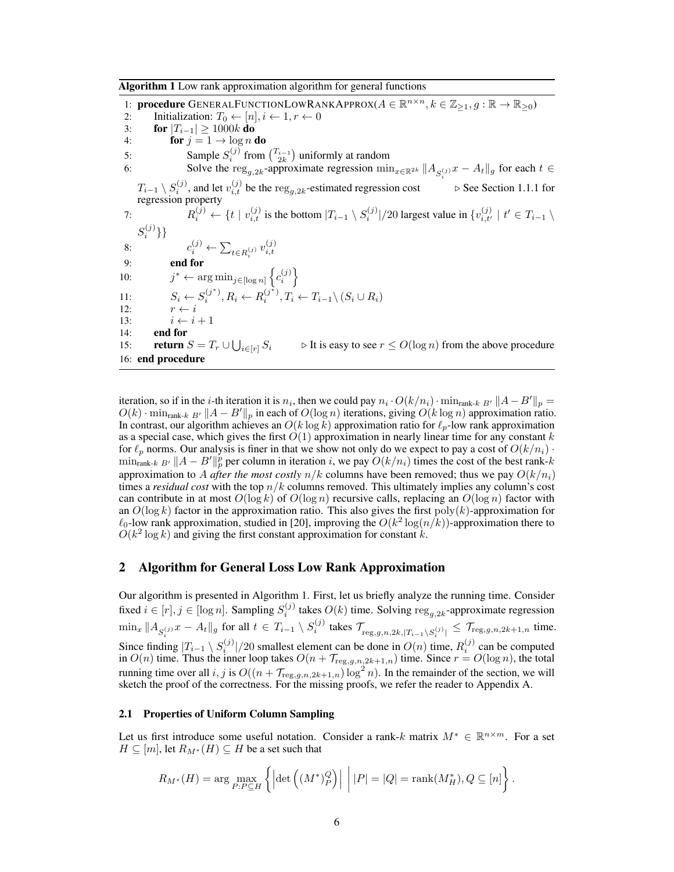Algorithm 1 Low rank approximation algorithm for general functions

1: **procedure** GENERALFUNCTIONLOWRANKAPPROX $(A \in \mathbb{R}^{n \times n}, k \in \mathbb{Z}_{\geq 1}, g : \mathbb{R} \to \mathbb{R}_{\geq 0})$ 2: Initialization:  $T_0 \leftarrow [n], i \leftarrow 1, r \leftarrow 0$ <br>3: **for**  $|T_{i-1}| > 1000k$  **do** 3: **for**  $|T_{i-1}| \ge 1000k$  do<br>4: **for**  $j = 1 \rightarrow \log n$ for  $j = 1 \rightarrow \log n$  do 5: Sample  $S_i^{(j)}$  from  $\binom{T_{i-1}}{2k}$  uniformly at random 6: Solve the reg<sub>g,2k</sub>-approximate regression  $\min_{x \in \mathbb{R}^{2k}} ||A_{S_i^{(j)}} x - A_t||_g$  for each  $t \in$  $T_{i-1} \setminus S_i^{(j)}$ , and let  $v_{i,t}^{(j)}$  be the reg<sub>g,2k</sub>-estimated regression cost  $\qquad \triangleright$  See Section 1.1.1 for regression property 7:  $R_i^{(j)} \leftarrow \{t \mid v_{i,t}^{(j)} \text{ is the bottom } |T_{i-1} \setminus S_i^{(j)}|/20 \text{ largest value in } \{v_{i,t'}^{(j)} \mid t' \in T_{i-1} \setminus T_i^{(j)}\}$  $S_i^{(j)}\}$ 8:  $c_i^{(j)} \leftarrow \sum_{t \in R_i^{(j)}} v_{i,t}^{(j)}$ 9: end for  $10:$ \* ←  $\arg \min_{j \in [\log n]} \left\{ c_i^{(j)} \right\}$ 11:  $S_i \leftarrow S_i^{(j^*)}, R_i \leftarrow R_i^{(j^*)}, T_i \leftarrow T_{i-1} \setminus (S_i \cup R_i)$ 12:  $r \leftarrow i$ 13:  $i \leftarrow i + 1$ <br>14: **end for** end for 15: **return**  $S = T_r \cup \bigcup$  $\triangleright$  It is easy to see  $r \leq O(\log n)$  from the above procedure 16: end procedure

iteration, so if in the *i*-th iteration it is  $n_i$ , then we could pay  $n_i \cdot O(k/n_i) \cdot \min_{\text{rank-}k} B' ||A - B'||_p =$  $O(k)$  · min<sub>rank-k</sub>  $B' || A - B' ||_p$  in each of  $O(\log n)$  iterations, giving  $O(k \log n)$  approximation ratio. In contrast, our algorithm achieves an  $O(k \log k)$  approximation ratio for  $\ell_p$ -low rank approximation as a special case, which gives the first  $O(1)$  approximation in nearly linear time for any constant k for  $\ell_p$  norms. Our analysis is finer in that we show not only do we expect to pay a cost of  $O(k/n_i)$ .  $\min_{\text{rank-}k}$   $_{B'}||A - B'||_p^p$  per column in iteration i, we pay  $O(k/n_i)$  times the cost of the best rank-k approximation to A *after the most costly*  $n/k$  columns have been removed; thus we pay  $O(k/n_i)$ times a *residual cost* with the top  $n/k$  columns removed. This ultimately implies any column's cost can contribute in at most  $O(\log k)$  of  $O(\log n)$  recursive calls, replacing an  $O(\log n)$  factor with an  $O(\log k)$  factor in the approximation ratio. This also gives the first poly $(k)$ -approximation for  $\ell_0$ -low rank approximation, studied in [20], improving the  $O(k^2 \log(n/k))$ -approximation there to  $O(k^2 \log k)$  and giving the first constant approximation for constant k.

# 2 Algorithm for General Loss Low Rank Approximation

Our algorithm is presented in Algorithm 1. First, let us briefly analyze the running time. Consider fixed  $i \in [r], j \in [\log n]$ . Sampling  $S_i^{(j)}$  takes  $O(k)$  time. Solving  $\text{reg}_{g,2k}$ -approximate regression  $\min_x \|A_{S_i^{(j)}} x - A_t\|_g$  for all  $t \in T_{i-1} \setminus S_i^{(j)}$  takes  $\mathcal{T}_{\text{reg},g,n,2k,|T_{i-1} \setminus S_i^{(j)}|} \leq \mathcal{T}_{\text{reg},g,n,2k+1,n}$  time. Since finding  $|T_{i-1} \setminus S_i^{(j)}|/20$  smallest element can be done in  $O(n)$  time,  $R_i^{(j)}$  can be computed in  $O(n)$  time. Thus the inner loop takes  $O(n + T_{\text{reg},g,n,2k+1,n})$  time. Since  $r = O(\log n)$ , the total running time over all  $i, j$  is  $O((n + \mathcal{T}_{\text{reg},g,n,2k+1,n}) \log^2 n)$ . In the remainder of the section, we will sketch the proof of the correctness. For the missing proofs, we refer the reader to Appendix A.

## 2.1 Properties of Uniform Column Sampling

Let us first introduce some useful notation. Consider a rank-k matrix  $M^* \in \mathbb{R}^{n \times m}$ . For a set  $H \subseteq [m]$ , let  $R_{M^*}(H) \subseteq H$  be a set such that

$$
R_{M^*}(H) = \arg\max_{P:P\subseteq H} \left\{ \left| \det \left( (M^*)^Q_P \right) \right| \middle| |P| = |Q| = \text{rank}(M^*_H), Q \subseteq [n] \right\}.
$$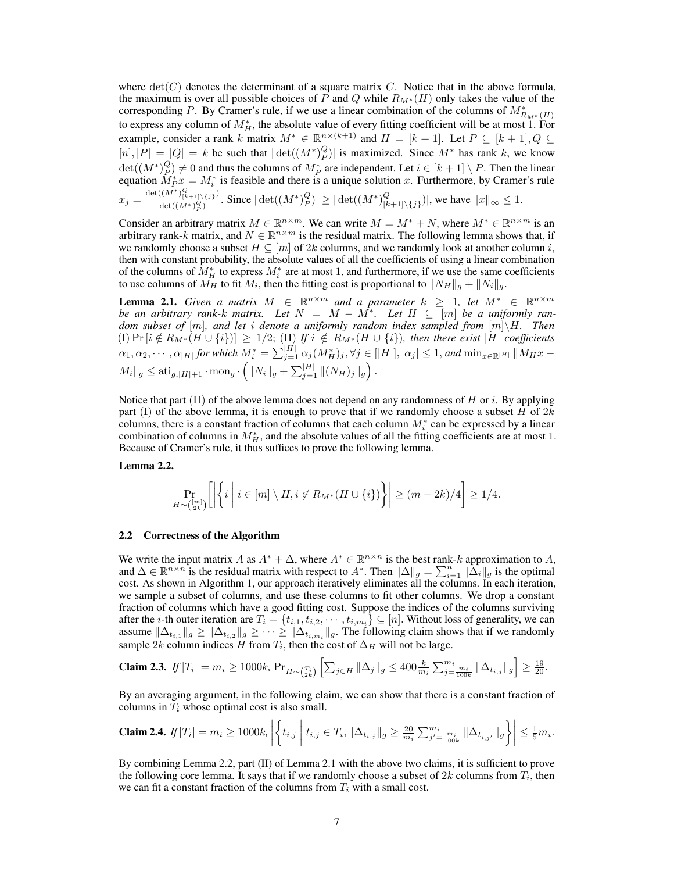where  $\det(C)$  denotes the determinant of a square matrix C. Notice that in the above formula, the maximum is over all possible choices of P and Q while  $R_{M^*}(H)$  only takes the value of the corresponding P. By Cramer's rule, if we use a linear combination of the columns of  $M^*_{R_M * (H)}$ to express any column of  $M_H^*$ , the absolute value of every fitting coefficient will be at most  $\hat{1}$ . For example, consider a rank k matrix  $M^* \in \mathbb{R}^{n \times (k+1)}$  and  $H = [k+1]$ . Let  $P \subseteq [k+1]$ ,  $Q \subseteq$  $[n], |P| = |Q| = k$  be such that  $|\det((M^*)_P^Q)|$  is maximized. Since  $M^*$  has rank k, we know  $\det((M^*)_P^Q) \neq 0$  and thus the columns of  $M_P^*$  are independent. Let  $i \in [k+1] \setminus P$ . Then the linear equation  $M_P^* x = M_i^*$  is feasible and there is a unique solution x. Furthermore, by Cramer's rule  $x_j = \frac{\det((M^*)_{[k+1]\setminus\{j\}}^Q)}{\det((M^*)^Q)}$  $\frac{((M^*)_{(k+1)\setminus \{j\}}^\infty)}{\det((M^*)_P^Q)}$ . Since  $|\det((M^*)_P^Q)| \geq |\det((M^*)_P^Q)|$  $\left|\frac{Q}{[k+1]\setminus\{j\}}\right|$ , we have  $||x||_{\infty} \leq 1$ .

Consider an arbitrary matrix  $M \in \mathbb{R}^{n \times m}$ . We can write  $M = M^* + N$ , where  $M^* \in \mathbb{R}^{n \times m}$  is an arbitrary rank-k matrix, and  $N \in \mathbb{R}^{n \times m}$  is the residual matrix. The following lemma shows that, if we randomly choose a subset  $H \subseteq [m]$  of 2k columns, and we randomly look at another column i, then with constant probability, the absolute values of all the coefficients of using a linear combination of the columns of  $M_H^*$  to express  $M_i^*$  are at most 1, and furthermore, if we use the same coefficients to use columns of  $M_H$  to fit  $M_i$ , then the fitting cost is proportional to  $||N_H||_g + ||N_i||_g$ .

**Lemma 2.1.** *Given a matrix*  $M \in \mathbb{R}^{n \times m}$  *and a parameter*  $k \geq 1$ , let  $M^* \in \mathbb{R}^{n \times m}$ *be an arbitrary rank-k matrix. Let*  $N = M - M^*$ . Let  $H \subseteq [m]$  *be a uniformly random subset of* [m]*, and let* i *denote a uniformly random index sampled from* [m]\H*. Then*  $\mathcal{L}([I] \Pr[i \notin R_{M^*}(H \cup \{i\})] \geq 1/2$ ;  $\mathcal{L}[I] \text{ if } i \notin R_{M^*}(H \cup \{i\})$ , then there exist  $|H|$  coefficients  $\alpha_1, \alpha_2, \cdots, \alpha_{|H|}$  for which  $M_i^* = \sum_{j=1}^{|H|} \alpha_j(M_H^*)_j, \forall j \in [|H|], |\alpha_j| \leq 1$ , and  $\min_{x \in \mathbb{R}^{|H|}} \|M_Hx M_i||_g \leq \text{ati}_{g,|H|+1} \cdot \text{mon}_g \cdot \left( ||N_i||_g + \sum_{j=1}^{|H|} ||(N_H)_j||_g \right).$ 

Notice that part (II) of the above lemma does not depend on any randomness of  $H$  or  $i$ . By applying part (I) of the above lemma, it is enough to prove that if we randomly choose a subset H of  $2k$ columns, there is a constant fraction of columns that each column  $M_i^*$  can be expressed by a linear combination of columns in  $M_H^*$ , and the absolute values of all the fitting coefficients are at most 1. Because of Cramer's rule, it thus suffices to prove the following lemma.

## Lemma 2.2.

$$
\Pr_{H \sim \binom{[m]}{2k}} \left[ \left| \left\{ i \; \middle| \; i \in [m] \setminus H, i \not\in R_{M^*}(H \cup \{i\}) \right\} \right| \ge (m-2k)/4 \right] \ge 1/4.
$$

#### 2.2 Correctness of the Algorithm

We write the input matrix A as  $A^* + \Delta$ , where  $A^* \in \mathbb{R}^{n \times n}$  is the best rank-k approximation to A, and  $\Delta \in \mathbb{R}^{n \times n}$  is the residual matrix with respect to  $A^*$ . Then  $\|\Delta\|_g = \sum_{i=1}^n \|\Delta_i\|_g$  is the optimal cost. As shown in Algorithm 1, our approach iteratively eliminates all the columns. In each iteration, we sample a subset of columns, and use these columns to fit other columns. We drop a constant fraction of columns which have a good fitting cost. Suppose the indices of the columns surviving after the *i*-th outer iteration are  $T_i = \{t_{i,1}, t_{i,2}, \cdots, t_{i,m_i}\} \subseteq [n]$ . Without loss of generality, we can assume  $\|\Delta_{t_{i,1}}\|_g \ge \|\Delta_{t_{i,2}}\|_g \ge \cdots \ge \|\Delta_{t_{i,m_i}}\|_g$ . The following claim shows that if we randomly sample 2k column indices H from  $T_i$ , then the cost of  $\Delta_H$  will not be large.

**Claim 2.3.** 
$$
f|T_i| = m_i \ge 1000k
$$
,  $\Pr_{H \sim \binom{T_i}{2k}} \left[ \sum_{j \in H} \|\Delta_j\|_g \le 400 \frac{k}{m_i} \sum_{j=\frac{m_i}{100k}}^{m_i} \|\Delta_{t_{i,j}}\|_g \right] \ge \frac{19}{20}$ .

By an averaging argument, in the following claim, we can show that there is a constant fraction of columns in  $T_i$  whose optimal cost is also small.

$$
\textbf{Claim 2.4. } \textit{If } |T_i| = m_i \geq 1000k, \left| \left\{ t_{i,j} \; \middle\vert \; t_{i,j} \in T_i, \| \Delta_{t_{i,j}} \|_g \geq \frac{20}{m_i} \sum_{j'= \frac{m_i}{100k}}^{m_i} \| \Delta_{t_{i,j'}} \|_g \right\} \right| \leq \frac{1}{5} m_i.
$$

By combining Lemma 2.2, part (II) of Lemma 2.1 with the above two claims, it is sufficient to prove the following core lemma. It says that if we randomly choose a subset of  $2k$  columns from  $T_i$ , then we can fit a constant fraction of the columns from  $T_i$  with a small cost.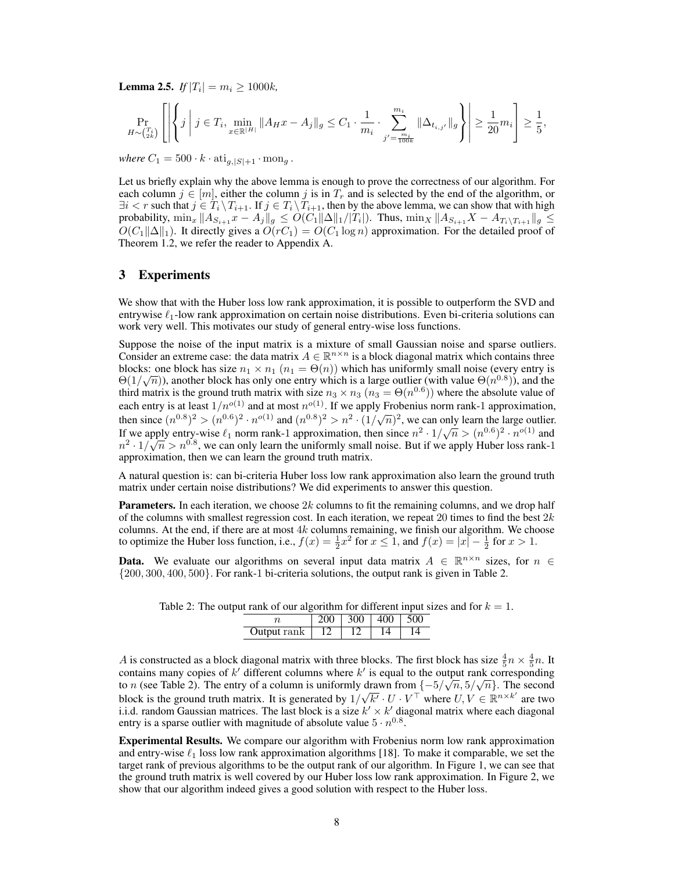**Lemma 2.5.** *If*  $|T_i| = m_i \ge 1000k$ ,

$$
\Pr_{H \sim \binom{T_i}{2k}} \left[ \left| \left\{ j \, \middle| \, j \in T_i, \min_{x \in \mathbb{R}^{|H|}} \| A_H x - A_j \|_g \le C_1 \cdot \frac{1}{m_i} \cdot \sum_{j' = \frac{m_i}{100k}}^{m_i} \| \Delta_{t_{i,j'}} \|_g \right\} \right| \ge \frac{1}{20} m_i \right] \ge \frac{1}{5},
$$

*where*  $C_1 = 500 \cdot k \cdot \text{atj}_{g,|S|+1} \cdot \text{mon}_g$ .

Let us briefly explain why the above lemma is enough to prove the correctness of our algorithm. For each column  $j \in [m]$ , either the column j is in  $T_r$  and is selected by the end of the algorithm, or  $\exists i < r$  such that  $j \in \overline{T_i} \setminus T_{i+1}$ . If  $j \in T_i \setminus T_{i+1}$ , then by the above lemma, we can show that with high probability,  $\min_x \|A_{S_{i+1}} x - A_j\|_g \le O(C_1 \|\Delta\|_1/|T_i|)$ . Thus,  $\min_x \|A_{S_{i+1}} X - A_{T_i \setminus T_{i+1}}\|_g \le$  $O(C_1||\Delta||_1)$ . It directly gives a  $O(rc_1) = O(C_1 \log n)$  approximation. For the detailed proof of Theorem 1.2, we refer the reader to Appendix A.

## 3 Experiments

We show that with the Huber loss low rank approximation, it is possible to outperform the SVD and entrywise  $\ell_1$ -low rank approximation on certain noise distributions. Even bi-criteria solutions can work very well. This motivates our study of general entry-wise loss functions.

Suppose the noise of the input matrix is a mixture of small Gaussian noise and sparse outliers. Consider an extreme case: the data matrix  $A \in \mathbb{R}^{n \times n}$  is a block diagonal matrix which contains three blocks: one block has size  $n_1 \times n_1$  ( $n_1 = \Theta(n)$ ) which has uniformly small noise (every entry is  $\Theta(1/\sqrt{n})$ ), another block has only one entry which is a large outlier (with value  $\Theta(n^{0.8})$ ), and the third matrix is the ground truth matrix with size  $n_3 \times n_3$  ( $n_3 = \Theta(n^{0.6})$ ) where the absolute value of each entry is at least  $1/n^{o(1)}$  and at most  $n^{o(1)}$ . If we apply Frobenius norm rank-1 approximation, then since  $(n^{0.8})^2 > (n^{0.6})^2 \cdot n^{o(1)}$  and  $(n^{0.8})^2 > n^2 \cdot (1/\sqrt{n})^2$ , we can only learn the large outlier. If we apply entry-wise  $\ell_1$  norm rank-1 approximation, then since  $n^2 \cdot 1/\sqrt{n} > (n^{0.6})^2 \cdot n^{o(1)}$  and  $n^2 \cdot 1/\sqrt{n} > n^{0.8}$ , we can only learn the uniformly small noise. But if we apply Huber loss rank-1 approximation, then we can learn the ground truth matrix.

A natural question is: can bi-criteria Huber loss low rank approximation also learn the ground truth matrix under certain noise distributions? We did experiments to answer this question.

**Parameters.** In each iteration, we choose  $2k$  columns to fit the remaining columns, and we drop half of the columns with smallest regression cost. In each iteration, we repeat 20 times to find the best  $2k$ columns. At the end, if there are at most  $4k$  columns remaining, we finish our algorithm. We choose to optimize the Huber loss function, i.e.,  $f(x) = \frac{1}{2}x^2$  for  $x \le 1$ , and  $f(x) = |x| - \frac{1}{2}$  for  $x > 1$ .

**Data.** We evaluate our algorithms on several input data matrix  $A \in \mathbb{R}^{n \times n}$  sizes, for  $n \in \mathbb{R}^{n \times n}$ {200, 300, 400, 500}. For rank-1 bi-criteria solutions, the output rank is given in Table 2.

| a rain or our argoriumi for unferent input s |  |                                  |  |  |  |
|----------------------------------------------|--|----------------------------------|--|--|--|
|                                              |  | $200 \mid 300 \mid 400 \mid 500$ |  |  |  |
| Output rank                                  |  |                                  |  |  |  |

Table 2: The output rank of our algorithm for different input sizes and for  $k = 1$ .

A is constructed as a block diagonal matrix with three blocks. The first block has size  $\frac{4}{5}n \times \frac{4}{5}n$ . It contains many copies of  $k'$  different columns where  $k'$  is equal to the output rank corresponding to *n* (see Table 2). The entry of a column is uniformly drawn from  $\{-5/\sqrt{n}, 5/\sqrt{n}\}$ . The second block is the ground truth matrix. It is generated by  $1/\sqrt{k'} \cdot U \cdot V^{\top}$  where  $U, V \in \mathbb{R}^{n \times k'}$  are two i.i.d. random Gaussian matrices. The last block is a size  $k' \times k'$  diagonal matrix where each diagonal entry is a sparse outlier with magnitude of absolute value  $5 \cdot n^{0.8}$ .

Experimental Results. We compare our algorithm with Frobenius norm low rank approximation and entry-wise  $\ell_1$  loss low rank approximation algorithms [18]. To make it comparable, we set the target rank of previous algorithms to be the output rank of our algorithm. In Figure 1, we can see that the ground truth matrix is well covered by our Huber loss low rank approximation. In Figure 2, we show that our algorithm indeed gives a good solution with respect to the Huber loss.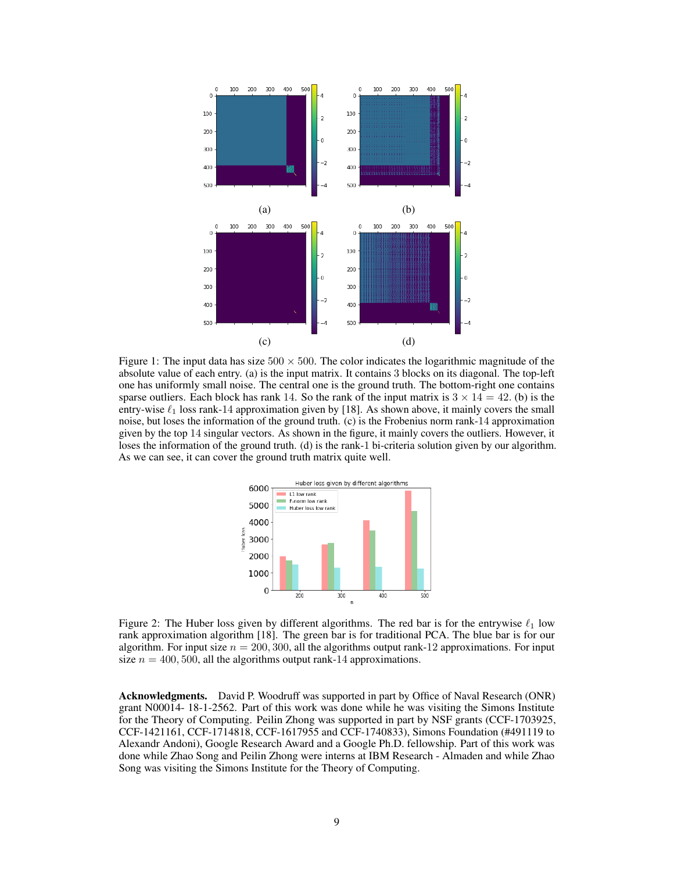

Figure 1: The input data has size  $500 \times 500$ . The color indicates the logarithmic magnitude of the absolute value of each entry. (a) is the input matrix. It contains 3 blocks on its diagonal. The top-left one has uniformly small noise. The central one is the ground truth. The bottom-right one contains sparse outliers. Each block has rank 14. So the rank of the input matrix is  $3 \times 14 = 42$ . (b) is the entry-wise  $\ell_1$  loss rank-14 approximation given by [18]. As shown above, it mainly covers the small noise, but loses the information of the ground truth. (c) is the Frobenius norm rank-14 approximation given by the top 14 singular vectors. As shown in the figure, it mainly covers the outliers. However, it loses the information of the ground truth. (d) is the rank-1 bi-criteria solution given by our algorithm. As we can see, it can cover the ground truth matrix quite well.



Figure 2: The Huber loss given by different algorithms. The red bar is for the entrywise  $\ell_1$  low rank approximation algorithm [18]. The green bar is for traditional PCA. The blue bar is for our algorithm. For input size  $n = 200, 300$ , all the algorithms output rank-12 approximations. For input size  $n = 400, 500$ , all the algorithms output rank-14 approximations.

Acknowledgments. David P. Woodruff was supported in part by Office of Naval Research (ONR) grant N00014- 18-1-2562. Part of this work was done while he was visiting the Simons Institute for the Theory of Computing. Peilin Zhong was supported in part by NSF grants (CCF-1703925, CCF-1421161, CCF-1714818, CCF-1617955 and CCF-1740833), Simons Foundation (#491119 to Alexandr Andoni), Google Research Award and a Google Ph.D. fellowship. Part of this work was done while Zhao Song and Peilin Zhong were interns at IBM Research - Almaden and while Zhao Song was visiting the Simons Institute for the Theory of Computing.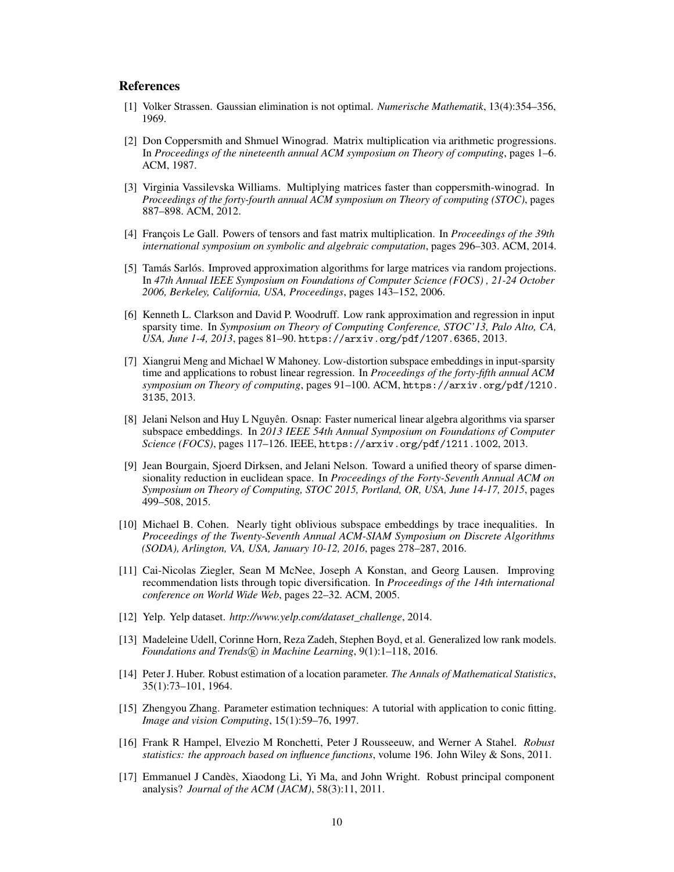## References

- [1] Volker Strassen. Gaussian elimination is not optimal. *Numerische Mathematik*, 13(4):354–356, 1969.
- [2] Don Coppersmith and Shmuel Winograd. Matrix multiplication via arithmetic progressions. In *Proceedings of the nineteenth annual ACM symposium on Theory of computing*, pages 1–6. ACM, 1987.
- [3] Virginia Vassilevska Williams. Multiplying matrices faster than coppersmith-winograd. In *Proceedings of the forty-fourth annual ACM symposium on Theory of computing (STOC)*, pages 887–898. ACM, 2012.
- [4] François Le Gall. Powers of tensors and fast matrix multiplication. In *Proceedings of the 39th international symposium on symbolic and algebraic computation*, pages 296–303. ACM, 2014.
- [5] Tamás Sarlós. Improved approximation algorithms for large matrices via random projections. In *47th Annual IEEE Symposium on Foundations of Computer Science (FOCS) , 21-24 October 2006, Berkeley, California, USA, Proceedings*, pages 143–152, 2006.
- [6] Kenneth L. Clarkson and David P. Woodruff. Low rank approximation and regression in input sparsity time. In *Symposium on Theory of Computing Conference, STOC'13, Palo Alto, CA, USA, June 1-4, 2013*, pages 81–90. https://arxiv.org/pdf/1207.6365, 2013.
- [7] Xiangrui Meng and Michael W Mahoney. Low-distortion subspace embeddings in input-sparsity time and applications to robust linear regression. In *Proceedings of the forty-fifth annual ACM symposium on Theory of computing*, pages 91–100. ACM, https://arxiv.org/pdf/1210. 3135, 2013.
- [8] Jelani Nelson and Huy L Nguyên. Osnap: Faster numerical linear algebra algorithms via sparser subspace embeddings. In *2013 IEEE 54th Annual Symposium on Foundations of Computer Science (FOCS)*, pages 117–126. IEEE, https://arxiv.org/pdf/1211.1002, 2013.
- [9] Jean Bourgain, Sjoerd Dirksen, and Jelani Nelson. Toward a unified theory of sparse dimensionality reduction in euclidean space. In *Proceedings of the Forty-Seventh Annual ACM on Symposium on Theory of Computing, STOC 2015, Portland, OR, USA, June 14-17, 2015*, pages 499–508, 2015.
- [10] Michael B. Cohen. Nearly tight oblivious subspace embeddings by trace inequalities. In *Proceedings of the Twenty-Seventh Annual ACM-SIAM Symposium on Discrete Algorithms (SODA), Arlington, VA, USA, January 10-12, 2016*, pages 278–287, 2016.
- [11] Cai-Nicolas Ziegler, Sean M McNee, Joseph A Konstan, and Georg Lausen. Improving recommendation lists through topic diversification. In *Proceedings of the 14th international conference on World Wide Web*, pages 22–32. ACM, 2005.
- [12] Yelp. Yelp dataset. *http://www.yelp.com/dataset\_challenge*, 2014.
- [13] Madeleine Udell, Corinne Horn, Reza Zadeh, Stephen Boyd, et al. Generalized low rank models. *Foundations and Trends* $(\overline{R})$  *in Machine Learning*, 9(1):1–118, 2016.
- [14] Peter J. Huber. Robust estimation of a location parameter. *The Annals of Mathematical Statistics*, 35(1):73–101, 1964.
- [15] Zhengyou Zhang. Parameter estimation techniques: A tutorial with application to conic fitting. *Image and vision Computing*, 15(1):59–76, 1997.
- [16] Frank R Hampel, Elvezio M Ronchetti, Peter J Rousseeuw, and Werner A Stahel. *Robust statistics: the approach based on influence functions*, volume 196. John Wiley & Sons, 2011.
- [17] Emmanuel J Candès, Xiaodong Li, Yi Ma, and John Wright. Robust principal component analysis? *Journal of the ACM (JACM)*, 58(3):11, 2011.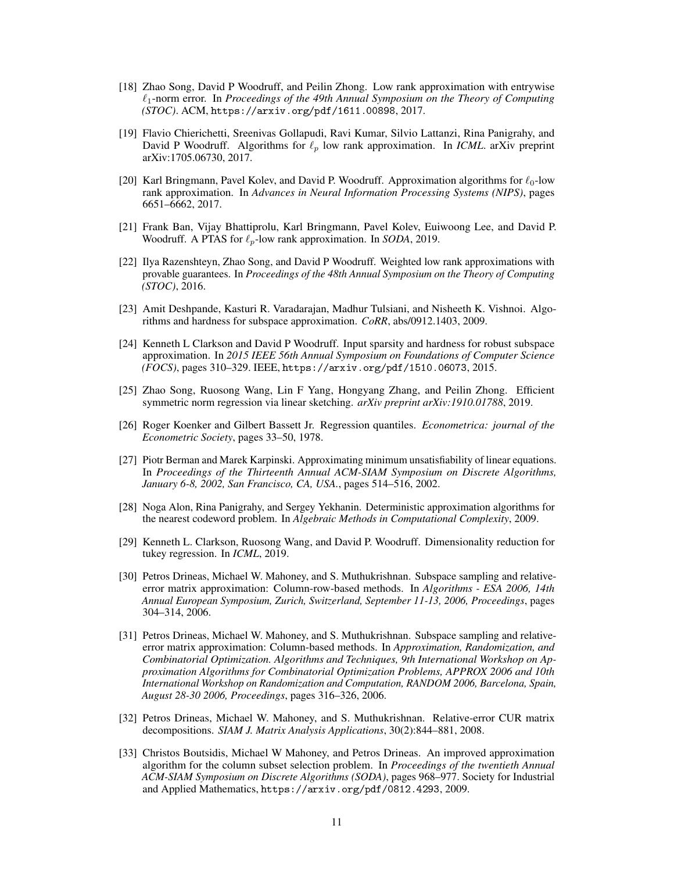- [18] Zhao Song, David P Woodruff, and Peilin Zhong. Low rank approximation with entrywise `1-norm error. In *Proceedings of the 49th Annual Symposium on the Theory of Computing (STOC)*. ACM, https://arxiv.org/pdf/1611.00898, 2017.
- [19] Flavio Chierichetti, Sreenivas Gollapudi, Ravi Kumar, Silvio Lattanzi, Rina Panigrahy, and David P Woodruff. Algorithms for  $\ell_p$  low rank approximation. In *ICML*. arXiv preprint arXiv:1705.06730, 2017.
- [20] Karl Bringmann, Pavel Kolev, and David P. Woodruff. Approximation algorithms for  $\ell_0$ -low rank approximation. In *Advances in Neural Information Processing Systems (NIPS)*, pages 6651–6662, 2017.
- [21] Frank Ban, Vijay Bhattiprolu, Karl Bringmann, Pavel Kolev, Euiwoong Lee, and David P. Woodruff. A PTAS for  $\ell_p$ -low rank approximation. In *SODA*, 2019.
- [22] Ilya Razenshteyn, Zhao Song, and David P Woodruff. Weighted low rank approximations with provable guarantees. In *Proceedings of the 48th Annual Symposium on the Theory of Computing (STOC)*, 2016.
- [23] Amit Deshpande, Kasturi R. Varadarajan, Madhur Tulsiani, and Nisheeth K. Vishnoi. Algorithms and hardness for subspace approximation. *CoRR*, abs/0912.1403, 2009.
- [24] Kenneth L Clarkson and David P Woodruff. Input sparsity and hardness for robust subspace approximation. In *2015 IEEE 56th Annual Symposium on Foundations of Computer Science (FOCS)*, pages 310–329. IEEE, https://arxiv.org/pdf/1510.06073, 2015.
- [25] Zhao Song, Ruosong Wang, Lin F Yang, Hongyang Zhang, and Peilin Zhong. Efficient symmetric norm regression via linear sketching. *arXiv preprint arXiv:1910.01788*, 2019.
- [26] Roger Koenker and Gilbert Bassett Jr. Regression quantiles. *Econometrica: journal of the Econometric Society*, pages 33–50, 1978.
- [27] Piotr Berman and Marek Karpinski. Approximating minimum unsatisfiability of linear equations. In *Proceedings of the Thirteenth Annual ACM-SIAM Symposium on Discrete Algorithms, January 6-8, 2002, San Francisco, CA, USA.*, pages 514–516, 2002.
- [28] Noga Alon, Rina Panigrahy, and Sergey Yekhanin. Deterministic approximation algorithms for the nearest codeword problem. In *Algebraic Methods in Computational Complexity*, 2009.
- [29] Kenneth L. Clarkson, Ruosong Wang, and David P. Woodruff. Dimensionality reduction for tukey regression. In *ICML*, 2019.
- [30] Petros Drineas, Michael W. Mahoney, and S. Muthukrishnan. Subspace sampling and relativeerror matrix approximation: Column-row-based methods. In *Algorithms - ESA 2006, 14th Annual European Symposium, Zurich, Switzerland, September 11-13, 2006, Proceedings*, pages 304–314, 2006.
- [31] Petros Drineas, Michael W. Mahoney, and S. Muthukrishnan. Subspace sampling and relativeerror matrix approximation: Column-based methods. In *Approximation, Randomization, and Combinatorial Optimization. Algorithms and Techniques, 9th International Workshop on Approximation Algorithms for Combinatorial Optimization Problems, APPROX 2006 and 10th International Workshop on Randomization and Computation, RANDOM 2006, Barcelona, Spain, August 28-30 2006, Proceedings*, pages 316–326, 2006.
- [32] Petros Drineas, Michael W. Mahoney, and S. Muthukrishnan. Relative-error CUR matrix decompositions. *SIAM J. Matrix Analysis Applications*, 30(2):844–881, 2008.
- [33] Christos Boutsidis, Michael W Mahoney, and Petros Drineas. An improved approximation algorithm for the column subset selection problem. In *Proceedings of the twentieth Annual ACM-SIAM Symposium on Discrete Algorithms (SODA)*, pages 968–977. Society for Industrial and Applied Mathematics, https://arxiv.org/pdf/0812.4293, 2009.